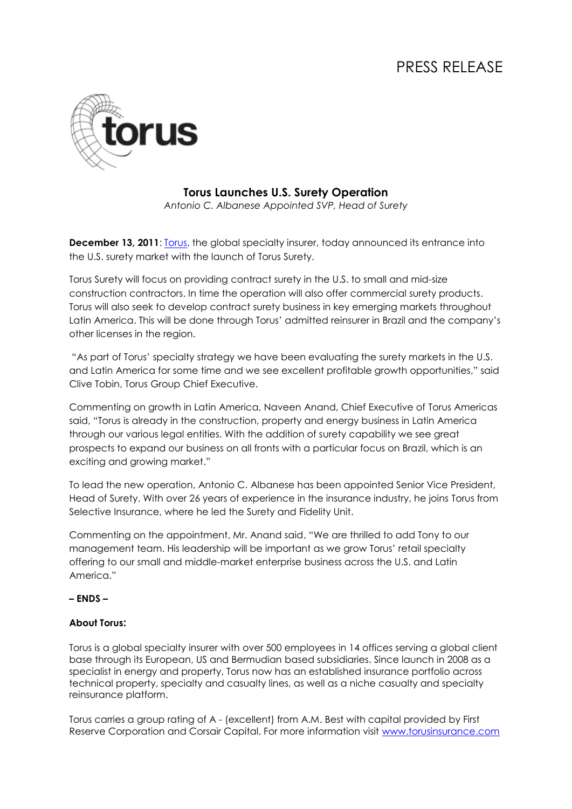# PRESS RELEASE



## **Torus Launches U.S. Surety Operation**

*Antonio C. Albanese Appointed SVP, Head of Surety*

**December 13, 2011:** [Torus,](http://www.torusinsurance.com/) the global specialty insurer, today announced its entrance into the U.S. surety market with the launch of Torus Surety.

Torus Surety will focus on providing contract surety in the U.S. to small and mid-size construction contractors. In time the operation will also offer commercial surety products. Torus will also seek to develop contract surety business in key emerging markets throughout Latin America. This will be done through Torus' admitted reinsurer in Brazil and the company's other licenses in the region.

"As part of Torus' specialty strategy we have been evaluating the surety markets in the U.S. and Latin America for some time and we see excellent profitable growth opportunities," said Clive Tobin, Torus Group Chief Executive.

Commenting on growth in Latin America, Naveen Anand, Chief Executive of Torus Americas said, "Torus is already in the construction, property and energy business in Latin America through our various legal entities. With the addition of surety capability we see great prospects to expand our business on all fronts with a particular focus on Brazil, which is an exciting and growing market."

To lead the new operation, Antonio C. Albanese has been appointed Senior Vice President, Head of Surety. With over 26 years of experience in the insurance industry, he joins Torus from Selective Insurance, where he led the Surety and Fidelity Unit.

Commenting on the appointment, Mr. Anand said, "We are thrilled to add Tony to our management team. His leadership will be important as we grow Torus' retail specialty offering to our small and middle-market enterprise business across the U.S. and Latin America<sup>"</sup>

### **– ENDS –**

### **About Torus:**

Torus is a global specialty insurer with over 500 employees in 14 offices serving a global client base through its European, US and Bermudian based subsidiaries. Since launch in 2008 as a specialist in energy and property, Torus now has an established insurance portfolio across technical property, specialty and casualty lines, as well as a niche casualty and specialty reinsurance platform.

Torus carries a group rating of A - (excellent) from A.M. Best with capital provided by First Reserve Corporation and Corsair Capital. For more information visit [www.torusinsurance.com](http://www.torusinsurance.com/)